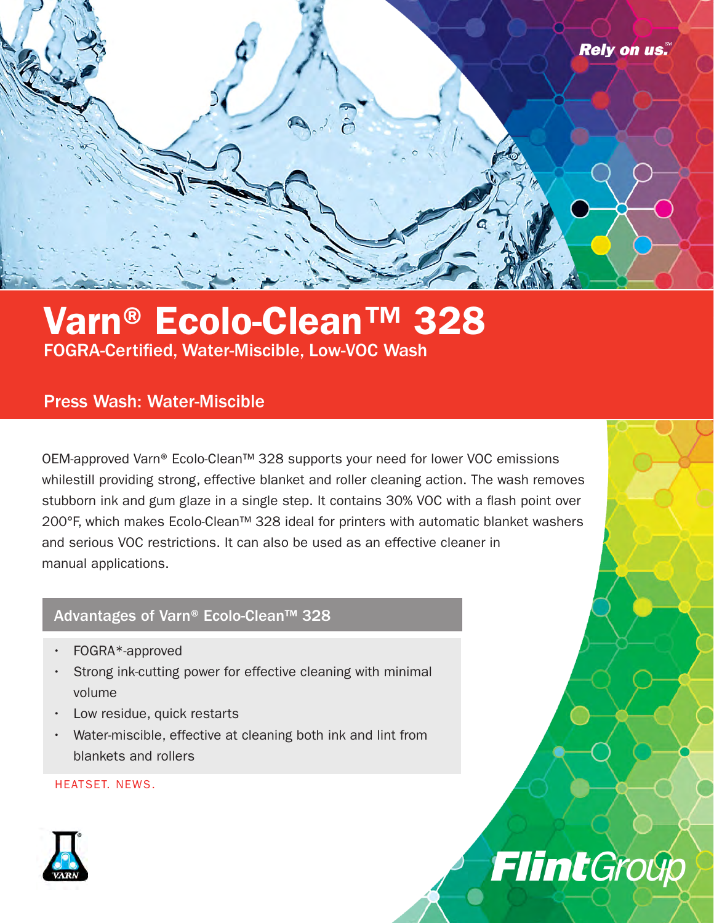

## Varn® Ecolo-Clean™ 328 FOGRA-Certified, Water-Miscible, Low-VOC Wash

### Press Wash: Water-Miscible

OEM-approved Varn® Ecolo-Clean™ 328 supports your need for lower VOC emissions whilestill providing strong, effective blanket and roller cleaning action. The wash removes stubborn ink and gum glaze in a single step. It contains 30% VOC with a flash point over 200°F, which makes Ecolo-Clean™ 328 ideal for printers with automatic blanket washers and serious VOC restrictions. It can also be used as an effective cleaner in manual applications.

**Flint**Group

#### Advantages of Varn® Ecolo-Clean™ 328

- FOGRA\*-approved
- Strong ink-cutting power for effective cleaning with minimal volume
- Low residue, quick restarts
- Water-miscible, effective at cleaning both ink and lint from blankets and rollers

HEATSET. NEWS.